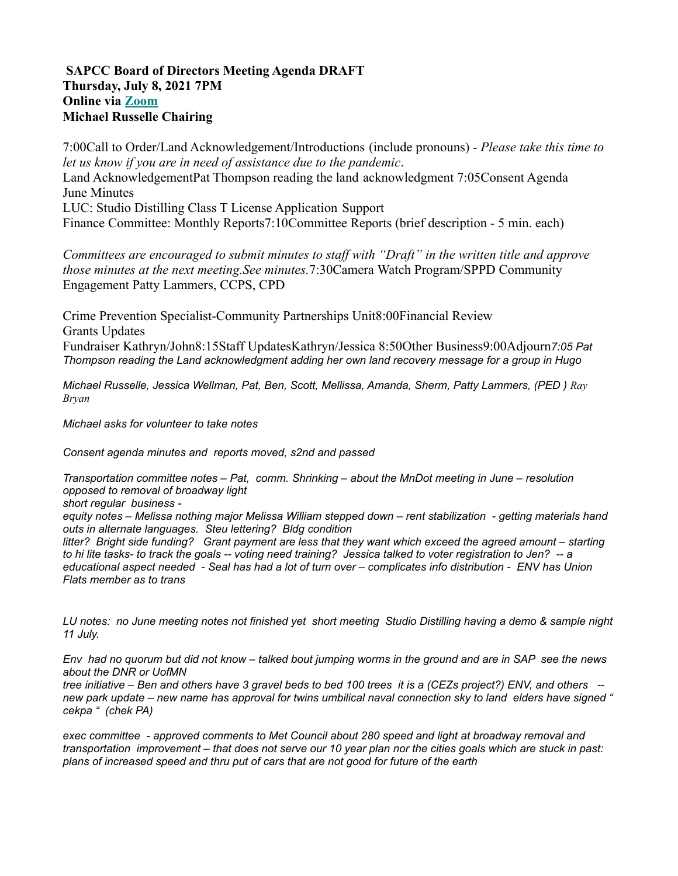## **SAPCC Board of Directors Meeting Agenda DRAFT Thursday, July 8, 2021 7PM Online via Zoom Michael Russelle Chairing**

7:00Call to Order/Land Acknowledgement/Introductions (include pronouns) - *Please take this time to let us know if you are in need of assistance due to the pandemic*. Land AcknowledgementPat Thompson reading the land acknowledgment 7:05Consent Agenda June Minutes LUC: Studio Distilling Class T License Application Support Finance Committee: Monthly Reports7:10Committee Reports (brief description - 5 min. each)

*Committees are encouraged to submit minutes to staff with "Draft" in the written title and approve those minutes at the next meeting.See minutes.*7:30Camera Watch Program/SPPD Community Engagement Patty Lammers, CCPS, CPD

Crime Prevention Specialist-Community Partnerships Unit8:00Financial Review Grants Updates Fundraiser Kathryn/John8:15Staff UpdatesKathryn/Jessica 8:50Other Business9:00Adjourn*7:05 Pat Thompson reading the Land acknowledgment adding her own land recovery message for a group in Hugo*

*Michael Russelle, Jessica Wellman, Pat, Ben, Scott, Mellissa, Amanda, Sherm, Patty Lammers, (PED ) Ray Bryan*

*Michael asks for volunteer to take notes*

*Consent agenda minutes and reports moved, s2nd and passed*

*Transportation committee notes – Pat, comm. Shrinking – about the MnDot meeting in June – resolution opposed to removal of broadway light short regular business*  equity notes – Melissa nothing major Melissa William stepped down – rent stabilization - getting materials hand

*outs in alternate languages. Steu lettering? Bldg condition* litter? Bright side funding? Grant payment are less that they want which exceed the agreed amount - starting to hi lite tasks- to track the goals -- voting need training? Jessica talked to voter registration to Jen? -- a educational aspect needed - Seal has had a lot of turn over – complicates info distribution - ENV has Union *Flats member as to trans*

LU notes: no June meeting notes not finished yet short meeting Studio Distilling having a demo & sample night *11 July.*

Env had no quorum but did not know – talked bout jumping worms in the ground and are in SAP see the news *about the DNR or UofMN*

tree initiative – Ben and others have 3 gravel beds to bed 100 trees it is a (CEZs project?) ENV, and others -new park update – new name has approval for twins umbilical naval connection sky to land elders have signed " *cekpa " (chek PA)*

*exec committee - approved comments to Met Council about 280 speed and light at broadway removal and* transportation improvement - that does not serve our 10 year plan nor the cities goals which are stuck in past: *plans of increased speed and thru put of cars that are not good for future of the earth*